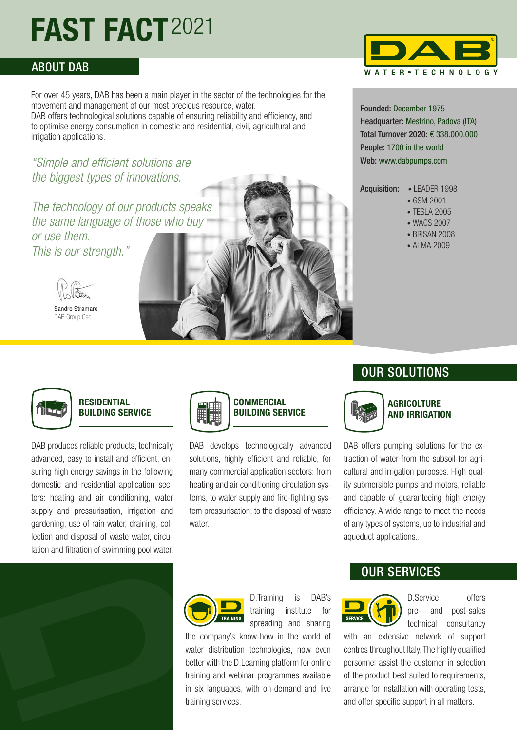# **FAST FACT**2021

### ABOUT DAB

For over 45 years, DAB has been a main player in the sector of the technologies for the movement and management of our most precious resource, water. DAB offers technological solutions capable of ensuring reliability and efficiency, and to optimise energy consumption in domestic and residential, civil, agricultural and irrigation applications.

*"Simple and efficient solutions are the biggest types of innovations.* 

*The technology of our products speaks the same language of those who buy or use them. This is our strength."*



Sandro Stramare DAB Group Ceo



DAB develops technologically advanced solutions, highly efficient and reliable, for many commercial application sectors: from heating and air conditioning circulation systems, to water supply and fire-fighting system pressurisation, to the disposal of waste water.



Founded: December 1975 Headquarter: Mestrino, Padova (ITA) Total Turnover 2020: € 338.000.000 People: 1700 in the world Web: www.dabpumps.com

Acquisition: • LEADER 1998

- GSM 2001
- TESLA 2005
- WACS 2007
- BRISAN 2008
- AI MA 2009



#### **RESIDENTIAL BUILDING SERVICE**

DAB produces reliable products, technically advanced, easy to install and efficient, ensuring high energy savings in the following domestic and residential application sectors: heating and air conditioning, water supply and pressurisation, irrigation and gardening, use of rain water, draining, collection and disposal of waste water, circulation and filtration of swimming pool water.





# OUR SOLUTIONS



**AGRICOLTURE AND IRRIGATION**

DAB offers pumping solutions for the extraction of water from the subsoil for agricultural and irrigation purposes. High quality submersible pumps and motors, reliable and capable of guaranteeing high energy efficiency. A wide range to meet the needs of any types of systems, up to industrial and aqueduct applications..



D.Training is DAB's training institute for spreading and sharing

the company's know-how in the world of water distribution technologies, now even better with the D.Learning platform for online training and webinar programmes available in six languages, with on-demand and live training services.

## OUR SERVICES



D.Service offers pre- and post-sales technical consultancy

with an extensive network of support centres throughout Italy. The highly qualified personnel assist the customer in selection of the product best suited to requirements, arrange for installation with operating tests, and offer specific support in all matters.